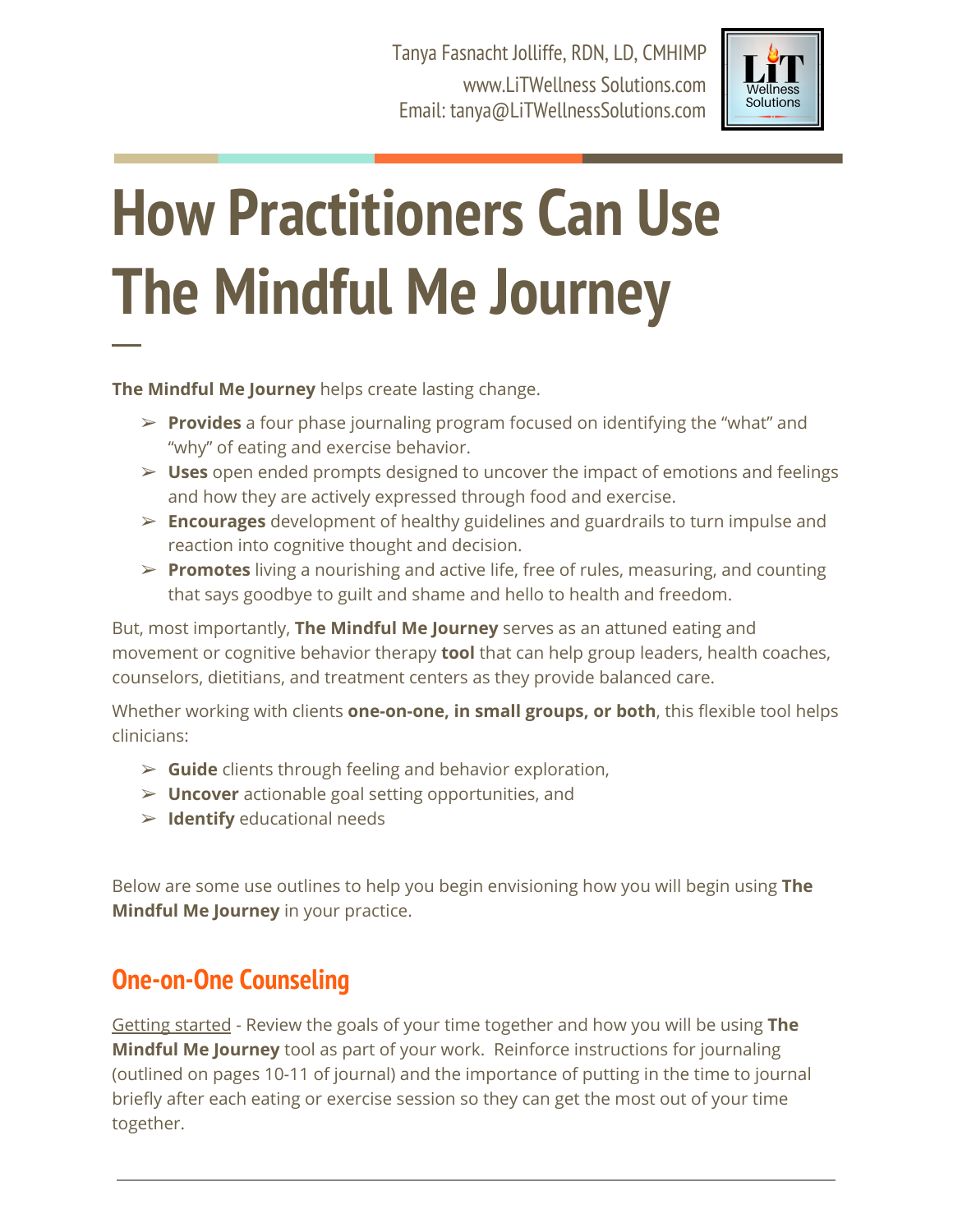Tanya Fasnacht Jolliffe, RDN, LD, CMHIMP www.LiTWellness Solutions.com Email: tanya@LiTWellnessSolutions.com



# **How Practitioners Can Use The Mindful Me Journey**

**The Mindful Me Journey** helps create lasting change.

─

- ➢ **Provides** a four phase journaling program focused on identifying the "what" and "why" of eating and exercise behavior.
- ➢ **Uses** open ended prompts designed to uncover the impact of emotions and feelings and how they are actively expressed through food and exercise.
- ➢ **Encourages** development of healthy guidelines and guardrails to turn impulse and reaction into cognitive thought and decision.
- ➢ **Promotes** living a nourishing and active life, free of rules, measuring, and counting that says goodbye to guilt and shame and hello to health and freedom.

But, most importantly, **The Mindful Me Journey** serves as an attuned eating and movement or cognitive behavior therapy **tool** that can help group leaders, health coaches, counselors, dietitians, and treatment centers as they provide balanced care.

Whether working with clients **one-on-one, in small groups, or both**, this flexible tool helps clinicians:

- ➢ **Guide** clients through feeling and behavior exploration,
- ➢ **Uncover** actionable goal setting opportunities, and
- ➢ **Identify** educational needs

Below are some use outlines to help you begin envisioning how you will begin using **The Mindful Me Journey** in your practice.

## **One-on-One Counseling**

Getting started - Review the goals of your time together and how you will be using **The Mindful Me Journey** tool as part of your work. Reinforce instructions for journaling (outlined on pages 10-11 of journal) and the importance of putting in the time to journal briefly after each eating or exercise session so they can get the most out of your time together.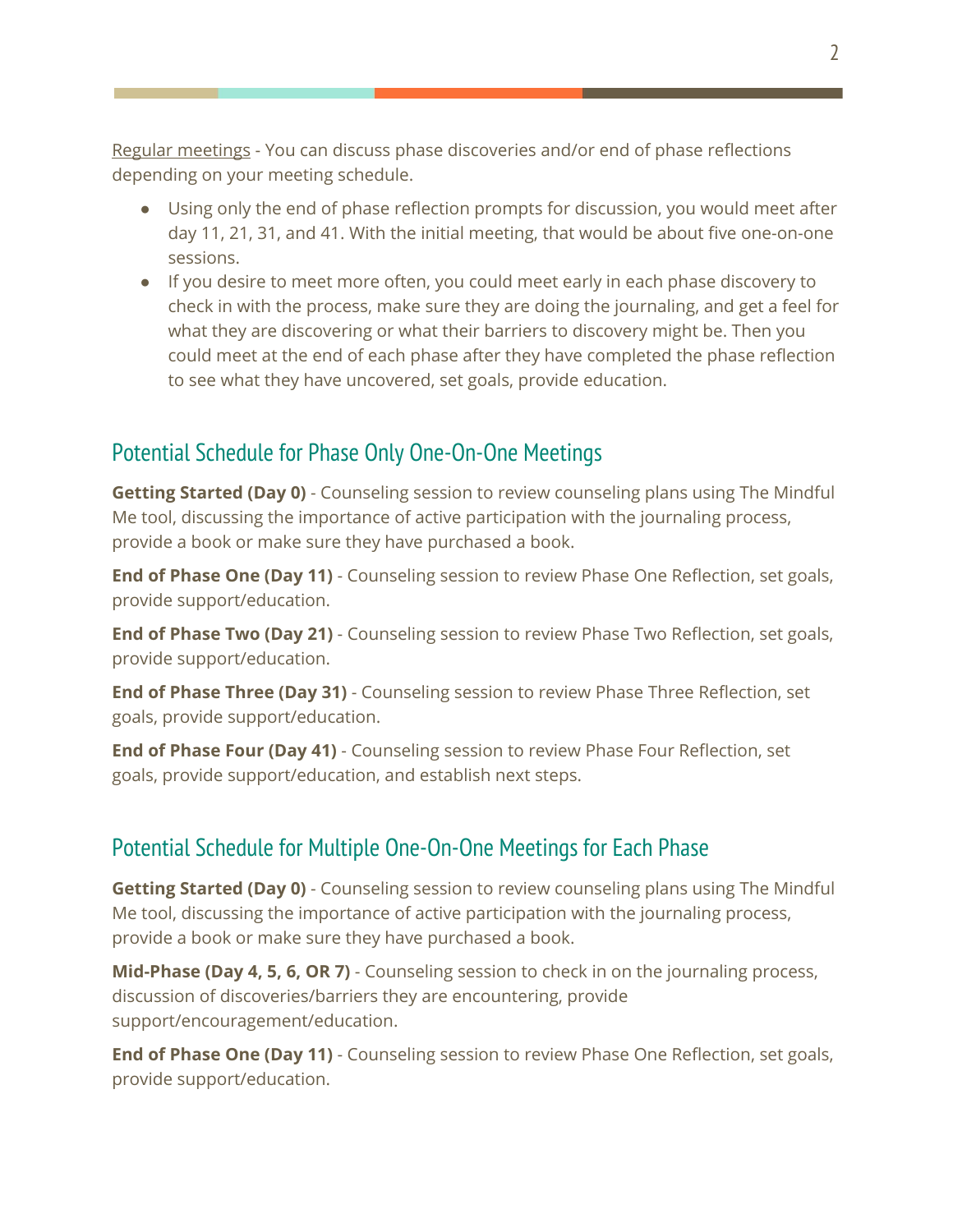Regular meetings - You can discuss phase discoveries and/or end of phase reflections depending on your meeting schedule.

- Using only the end of phase reflection prompts for discussion, you would meet after day 11, 21, 31, and 41. With the initial meeting, that would be about five one-on-one sessions.
- If you desire to meet more often, you could meet early in each phase discovery to check in with the process, make sure they are doing the journaling, and get a feel for what they are discovering or what their barriers to discovery might be. Then you could meet at the end of each phase after they have completed the phase reflection to see what they have uncovered, set goals, provide education.

## Potential Schedule for Phase Only One-On-One Meetings

**Getting Started (Day 0)** - Counseling session to review counseling plans using The Mindful Me tool, discussing the importance of active participation with the journaling process, provide a book or make sure they have purchased a book.

**End of Phase One (Day 11)** - Counseling session to review Phase One Reflection, set goals, provide support/education.

**End of Phase Two (Day 21)** - Counseling session to review Phase Two Reflection, set goals, provide support/education.

**End of Phase Three (Day 31)** - Counseling session to review Phase Three Reflection, set goals, provide support/education.

**End of Phase Four (Day 41)** - Counseling session to review Phase Four Reflection, set goals, provide support/education, and establish next steps.

### Potential Schedule for Multiple One-On-One Meetings for Each Phase

**Getting Started (Day 0)** - Counseling session to review counseling plans using The Mindful Me tool, discussing the importance of active participation with the journaling process, provide a book or make sure they have purchased a book.

**Mid-Phase (Day 4, 5, 6, OR 7)** - Counseling session to check in on the journaling process, discussion of discoveries/barriers they are encountering, provide support/encouragement/education.

**End of Phase One (Day 11)** - Counseling session to review Phase One Reflection, set goals, provide support/education.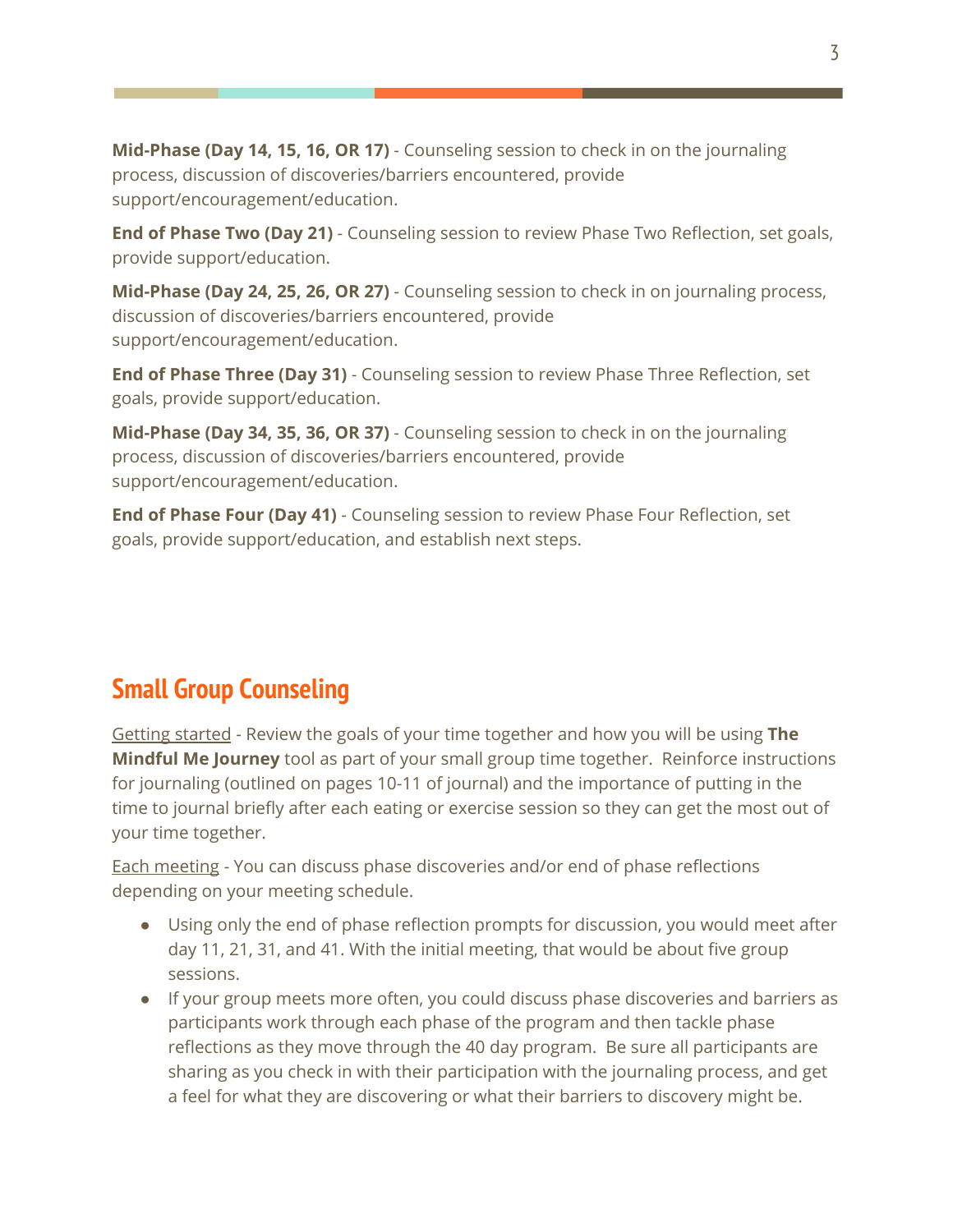**Mid-Phase (Day 14, 15, 16, OR 17)** - Counseling session to check in on the journaling process, discussion of discoveries/barriers encountered, provide support/encouragement/education.

**End of Phase Two (Day 21)** - Counseling session to review Phase Two Reflection, set goals, provide support/education.

**Mid-Phase (Day 24, 25, 26, OR 27)** - Counseling session to check in on journaling process, discussion of discoveries/barriers encountered, provide support/encouragement/education.

**End of Phase Three (Day 31)** - Counseling session to review Phase Three Reflection, set goals, provide support/education.

**Mid-Phase (Day 34, 35, 36, OR 37)** - Counseling session to check in on the journaling process, discussion of discoveries/barriers encountered, provide support/encouragement/education.

**End of Phase Four (Day 41)** - Counseling session to review Phase Four Reflection, set goals, provide support/education, and establish next steps.

## **Small Group Counseling**

Getting started - Review the goals of your time together and how you will be using **The Mindful Me Journey** tool as part of your small group time together. Reinforce instructions for journaling (outlined on pages 10-11 of journal) and the importance of putting in the time to journal briefly after each eating or exercise session so they can get the most out of your time together.

Each meeting - You can discuss phase discoveries and/or end of phase reflections depending on your meeting schedule.

- Using only the end of phase reflection prompts for discussion, you would meet after day 11, 21, 31, and 41. With the initial meeting, that would be about five group sessions.
- If your group meets more often, you could discuss phase discoveries and barriers as participants work through each phase of the program and then tackle phase reflections as they move through the 40 day program. Be sure all participants are sharing as you check in with their participation with the journaling process, and get a feel for what they are discovering or what their barriers to discovery might be.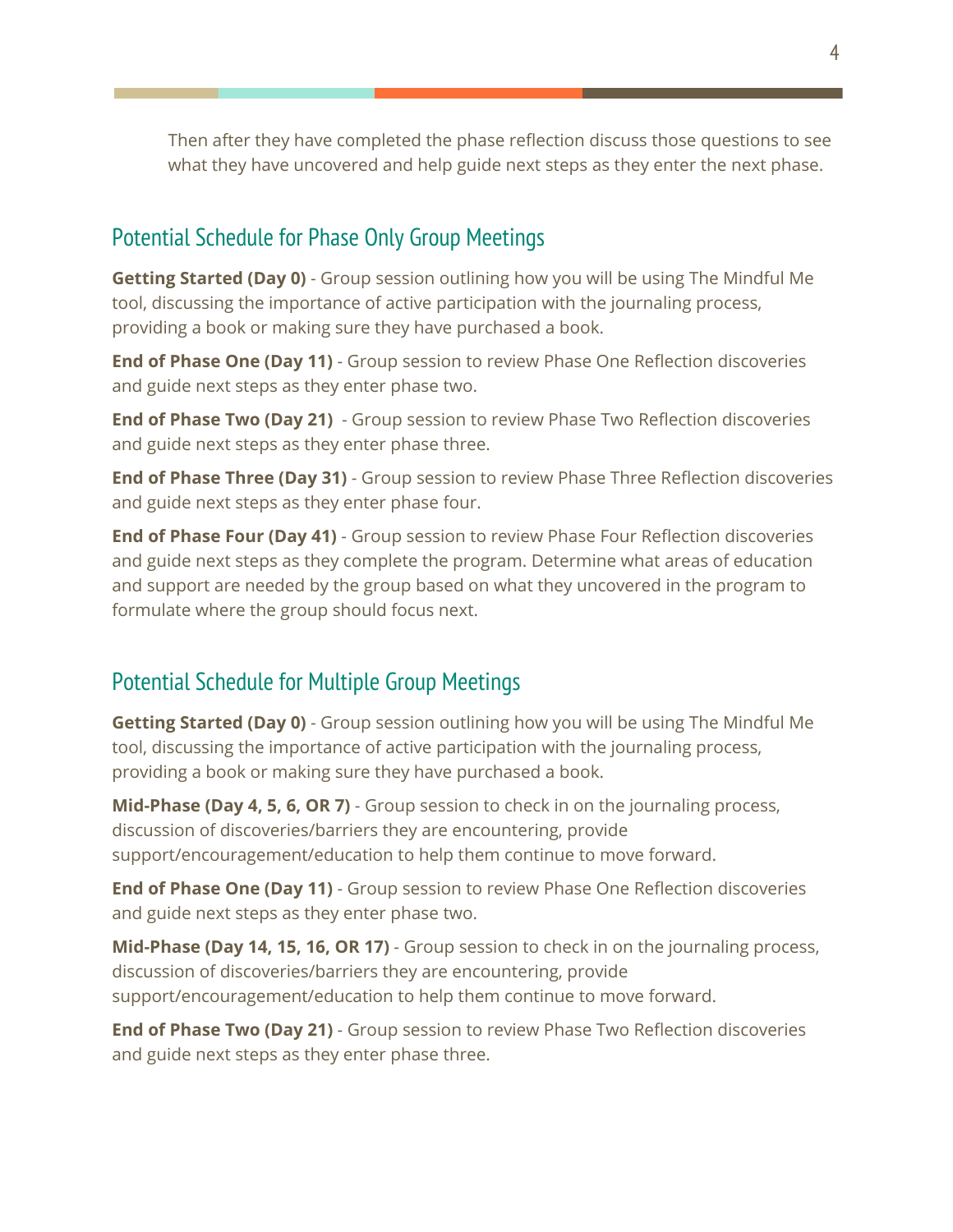Then after they have completed the phase reflection discuss those questions to see what they have uncovered and help guide next steps as they enter the next phase.

#### Potential Schedule for Phase Only Group Meetings

**Getting Started (Day 0)** - Group session outlining how you will be using The Mindful Me tool, discussing the importance of active participation with the journaling process, providing a book or making sure they have purchased a book.

**End of Phase One (Day 11)** - Group session to review Phase One Reflection discoveries and guide next steps as they enter phase two.

**End of Phase Two (Day 21)** - Group session to review Phase Two Reflection discoveries and guide next steps as they enter phase three.

**End of Phase Three (Day 31)** - Group session to review Phase Three Reflection discoveries and guide next steps as they enter phase four.

**End of Phase Four (Day 41)** - Group session to review Phase Four Reflection discoveries and guide next steps as they complete the program. Determine what areas of education and support are needed by the group based on what they uncovered in the program to formulate where the group should focus next.

### Potential Schedule for Multiple Group Meetings

**Getting Started (Day 0)** - Group session outlining how you will be using The Mindful Me tool, discussing the importance of active participation with the journaling process, providing a book or making sure they have purchased a book.

**Mid-Phase (Day 4, 5, 6, OR 7)** - Group session to check in on the journaling process, discussion of discoveries/barriers they are encountering, provide support/encouragement/education to help them continue to move forward.

**End of Phase One (Day 11)** - Group session to review Phase One Reflection discoveries and guide next steps as they enter phase two.

**Mid-Phase (Day 14, 15, 16, OR 17)** - Group session to check in on the journaling process, discussion of discoveries/barriers they are encountering, provide support/encouragement/education to help them continue to move forward.

**End of Phase Two (Day 21)** - Group session to review Phase Two Reflection discoveries and guide next steps as they enter phase three.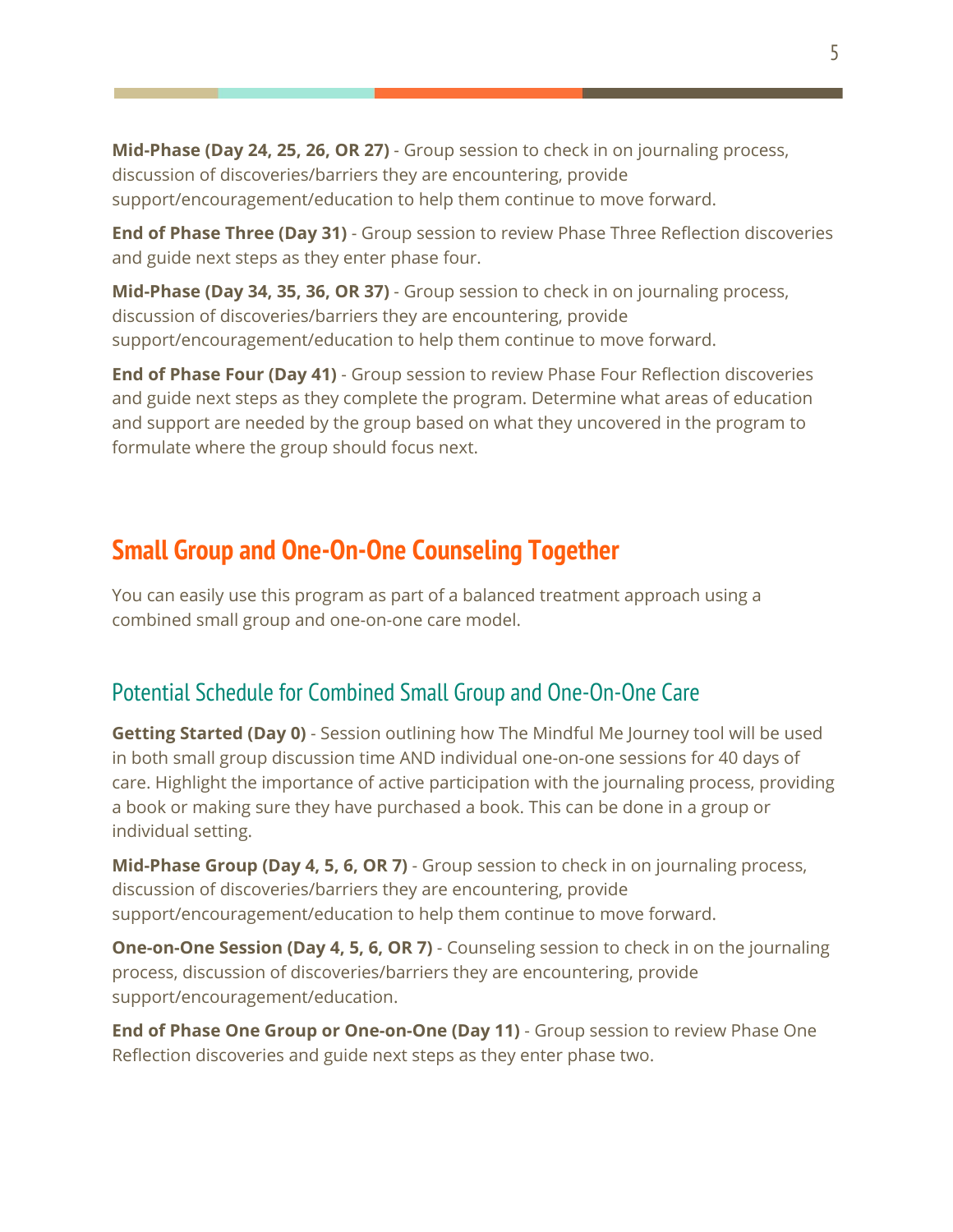**Mid-Phase (Day 24, 25, 26, OR 27)** - Group session to check in on journaling process, discussion of discoveries/barriers they are encountering, provide support/encouragement/education to help them continue to move forward.

**End of Phase Three (Day 31)** - Group session to review Phase Three Reflection discoveries and guide next steps as they enter phase four.

**Mid-Phase (Day 34, 35, 36, OR 37)** - Group session to check in on journaling process, discussion of discoveries/barriers they are encountering, provide support/encouragement/education to help them continue to move forward.

**End of Phase Four (Day 41)** - Group session to review Phase Four Reflection discoveries and guide next steps as they complete the program. Determine what areas of education and support are needed by the group based on what they uncovered in the program to formulate where the group should focus next.

## **Small Group and One-On-One Counseling Together**

You can easily use this program as part of a balanced treatment approach using a combined small group and one-on-one care model.

## Potential Schedule for Combined Small Group and One-On-One Care

**Getting Started (Day 0)** - Session outlining how The Mindful Me Journey tool will be used in both small group discussion time AND individual one-on-one sessions for 40 days of care. Highlight the importance of active participation with the journaling process, providing a book or making sure they have purchased a book. This can be done in a group or individual setting.

**Mid-Phase Group (Day 4, 5, 6, OR 7)** - Group session to check in on journaling process, discussion of discoveries/barriers they are encountering, provide support/encouragement/education to help them continue to move forward.

**One-on-One Session (Day 4, 5, 6, OR 7)** - Counseling session to check in on the journaling process, discussion of discoveries/barriers they are encountering, provide support/encouragement/education.

**End of Phase One Group or One-on-One (Day 11)** - Group session to review Phase One Reflection discoveries and guide next steps as they enter phase two.